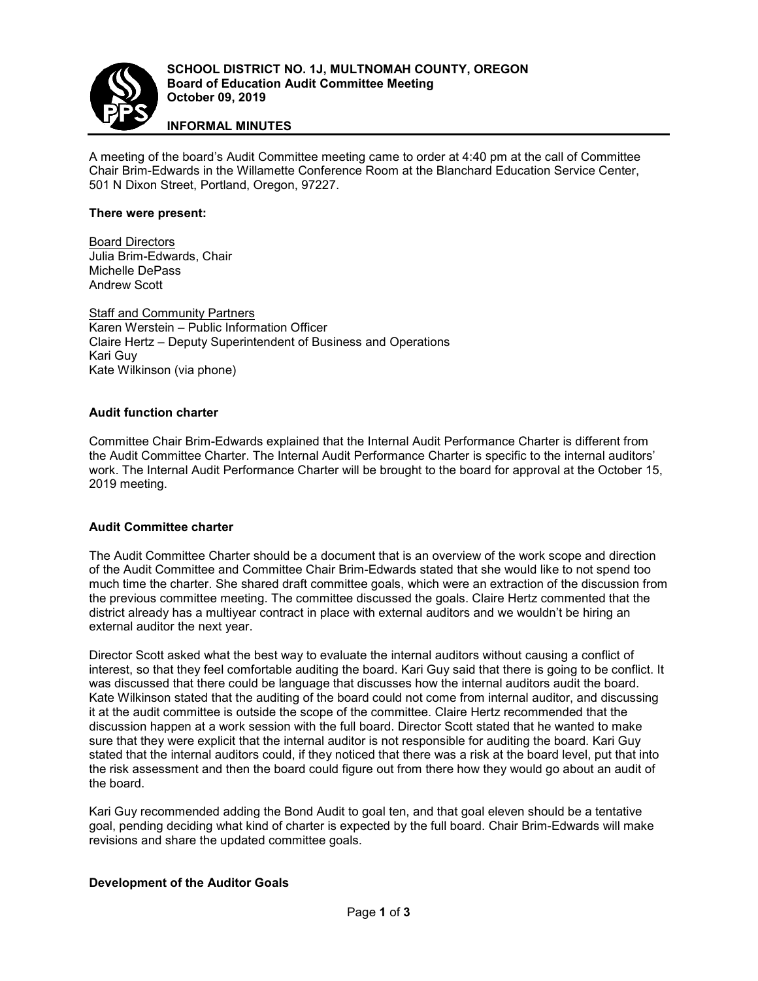

# **INFORMAL MINUTES**

A meeting of the board's Audit Committee meeting came to order at 4:40 pm at the call of Committee Chair Brim-Edwards in the Willamette Conference Room at the Blanchard Education Service Center, 501 N Dixon Street, Portland, Oregon, 97227.

#### **There were present:**

Board Directors Julia Brim-Edwards, Chair Michelle DePass Andrew Scott

Staff and Community Partners Karen Werstein – Public Information Officer Claire Hertz – Deputy Superintendent of Business and Operations Kari Guy Kate Wilkinson (via phone)

#### **Audit function charter**

Committee Chair Brim-Edwards explained that the Internal Audit Performance Charter is different from the Audit Committee Charter. The Internal Audit Performance Charter is specific to the internal auditors' work. The Internal Audit Performance Charter will be brought to the board for approval at the October 15, 2019 meeting.

#### **Audit Committee charter**

The Audit Committee Charter should be a document that is an overview of the work scope and direction of the Audit Committee and Committee Chair Brim-Edwards stated that she would like to not spend too much time the charter. She shared draft committee goals, which were an extraction of the discussion from the previous committee meeting. The committee discussed the goals. Claire Hertz commented that the district already has a multiyear contract in place with external auditors and we wouldn't be hiring an external auditor the next year.

Director Scott asked what the best way to evaluate the internal auditors without causing a conflict of interest, so that they feel comfortable auditing the board. Kari Guy said that there is going to be conflict. It was discussed that there could be language that discusses how the internal auditors audit the board. Kate Wilkinson stated that the auditing of the board could not come from internal auditor, and discussing it at the audit committee is outside the scope of the committee. Claire Hertz recommended that the discussion happen at a work session with the full board. Director Scott stated that he wanted to make sure that they were explicit that the internal auditor is not responsible for auditing the board. Kari Guy stated that the internal auditors could, if they noticed that there was a risk at the board level, put that into the risk assessment and then the board could figure out from there how they would go about an audit of the board.

Kari Guy recommended adding the Bond Audit to goal ten, and that goal eleven should be a tentative goal, pending deciding what kind of charter is expected by the full board. Chair Brim-Edwards will make revisions and share the updated committee goals.

## **Development of the Auditor Goals**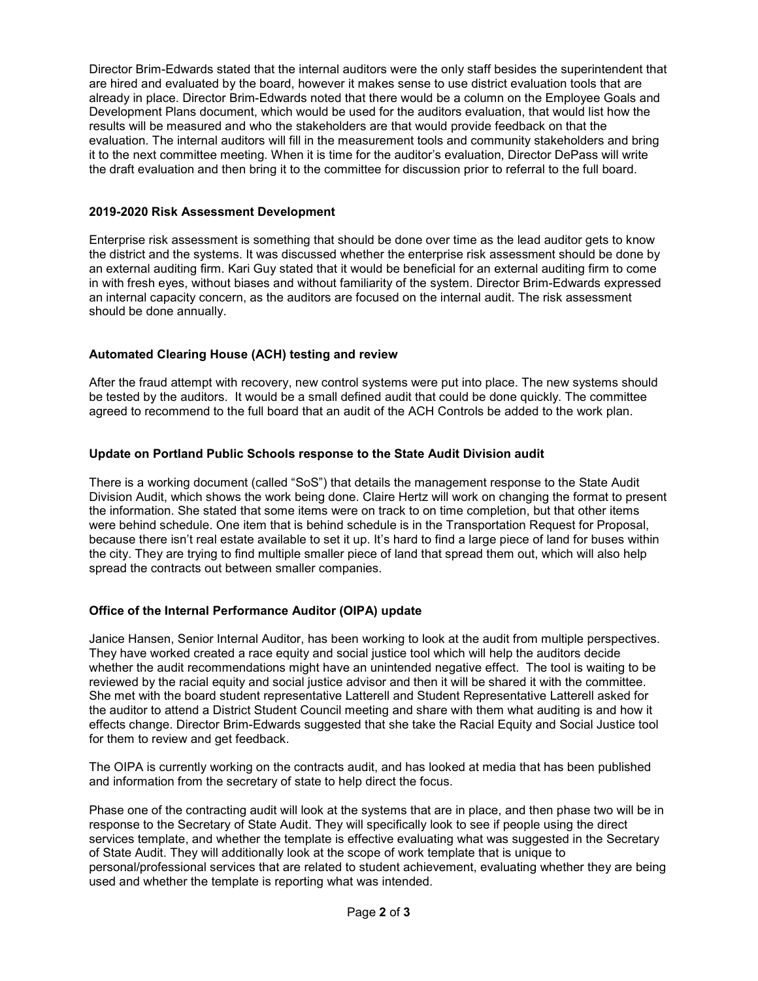Director Brim-Edwards stated that the internal auditors were the only staff besides the superintendent that are hired and evaluated by the board, however it makes sense to use district evaluation tools that are already in place. Director Brim-Edwards noted that there would be a column on the Employee Goals and Development Plans document, which would be used for the auditors evaluation, that would list how the results will be measured and who the stakeholders are that would provide feedback on that the evaluation. The internal auditors will fill in the measurement tools and community stakeholders and bring it to the next committee meeting. When it is time for the auditor's evaluation, Director DePass will write the draft evaluation and then bring it to the committee for discussion prior to referral to the full board.

#### **2019-2020 Risk Assessment Development**

Enterprise risk assessment is something that should be done over time as the lead auditor gets to know the district and the systems. It was discussed whether the enterprise risk assessment should be done by an external auditing firm. Kari Guy stated that it would be beneficial for an external auditing firm to come in with fresh eyes, without biases and without familiarity of the system. Director Brim-Edwards expressed an internal capacity concern, as the auditors are focused on the internal audit. The risk assessment should be done annually.

## **Automated Clearing House (ACH) testing and review**

After the fraud attempt with recovery, new control systems were put into place. The new systems should be tested by the auditors. It would be a small defined audit that could be done quickly. The committee agreed to recommend to the full board that an audit of the ACH Controls be added to the work plan.

## **Update on Portland Public Schools response to the State Audit Division audit**

There is a working document (called "SoS") that details the management response to the State Audit Division Audit, which shows the work being done. Claire Hertz will work on changing the format to present the information. She stated that some items were on track to on time completion, but that other items were behind schedule. One item that is behind schedule is in the Transportation Request for Proposal, because there isn't real estate available to set it up. It's hard to find a large piece of land for buses within the city. They are trying to find multiple smaller piece of land that spread them out, which will also help spread the contracts out between smaller companies.

## **Office of the Internal Performance Auditor (OIPA) update**

Janice Hansen, Senior Internal Auditor, has been working to look at the audit from multiple perspectives. They have worked created a race equity and social justice tool which will help the auditors decide whether the audit recommendations might have an unintended negative effect. The tool is waiting to be reviewed by the racial equity and social justice advisor and then it will be shared it with the committee. She met with the board student representative Latterell and Student Representative Latterell asked for the auditor to attend a District Student Council meeting and share with them what auditing is and how it effects change. Director Brim-Edwards suggested that she take the Racial Equity and Social Justice tool for them to review and get feedback.

The OIPA is currently working on the contracts audit, and has looked at media that has been published and information from the secretary of state to help direct the focus.

Phase one of the contracting audit will look at the systems that are in place, and then phase two will be in response to the Secretary of State Audit. They will specifically look to see if people using the direct services template, and whether the template is effective evaluating what was suggested in the Secretary of State Audit. They will additionally look at the scope of work template that is unique to personal/professional services that are related to student achievement, evaluating whether they are being used and whether the template is reporting what was intended.